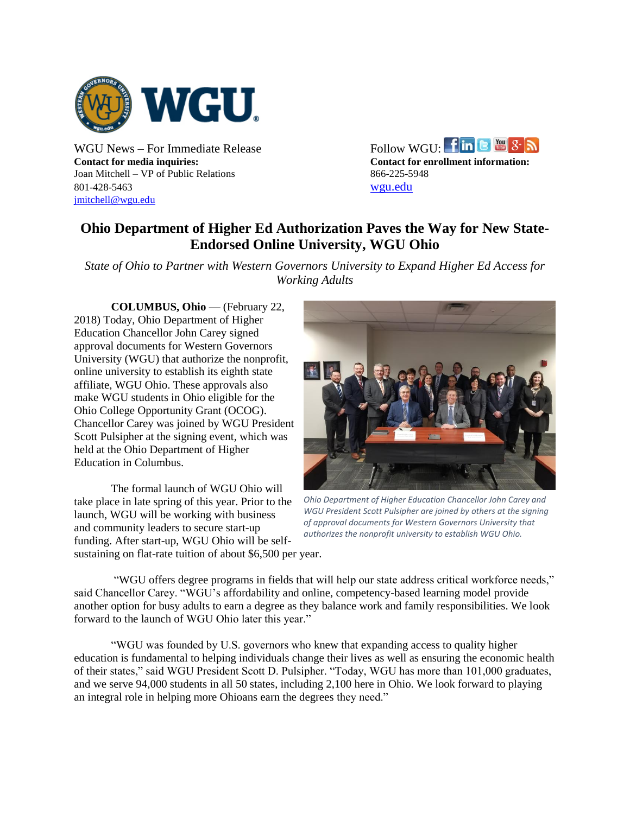

**Contact for media inquiries: Contact for enrollment information:** Joan Mitchell – VP of Public Relations 866-225-5948 801-428-5463 [wgu.edu](http://www.wgu.edu/) [jmitchell@wgu.edu](mailto:jmitchell@wgu.edu)

WGU News – For Immediate Release Follow WGU:  $\lim_{n \to \infty}$  8  $\lim_{n \to \infty}$ 

## **Ohio Department of Higher Ed Authorization Paves the Way for New State-Endorsed Online University, WGU Ohio**

*State of Ohio to Partner with Western Governors University to Expand Higher Ed Access for Working Adults*

**COLUMBUS, Ohio** — (February 22, 2018) Today, Ohio Department of Higher Education Chancellor John Carey signed approval documents for Western Governors University (WGU) that authorize the nonprofit, online university to establish its eighth state affiliate, WGU Ohio. These approvals also make WGU students in Ohio eligible for the Ohio College Opportunity Grant (OCOG). Chancellor Carey was joined by WGU President Scott Pulsipher at the signing event, which was held at the Ohio Department of Higher Education in Columbus.

The formal launch of WGU Ohio will take place in late spring of this year. Prior to the launch, WGU will be working with business and community leaders to secure start-up funding. After start-up, WGU Ohio will be selfsustaining on flat-rate tuition of about \$6,500 per year.



*Ohio Department of Higher Education Chancellor John Carey and WGU President Scott Pulsipher are joined by others at the signing of approval documents for Western Governors University that authorizes the nonprofit university to establish WGU Ohio.* 

"WGU offers degree programs in fields that will help our state address critical workforce needs," said Chancellor Carey. "WGU's affordability and online, competency-based learning model provide another option for busy adults to earn a degree as they balance work and family responsibilities. We look forward to the launch of WGU Ohio later this year."

"WGU was founded by U.S. governors who knew that expanding access to quality higher education is fundamental to helping individuals change their lives as well as ensuring the economic health of their states," said WGU President Scott D. Pulsipher. "Today, WGU has more than 101,000 graduates, and we serve 94,000 students in all 50 states, including 2,100 here in Ohio. We look forward to playing an integral role in helping more Ohioans earn the degrees they need."